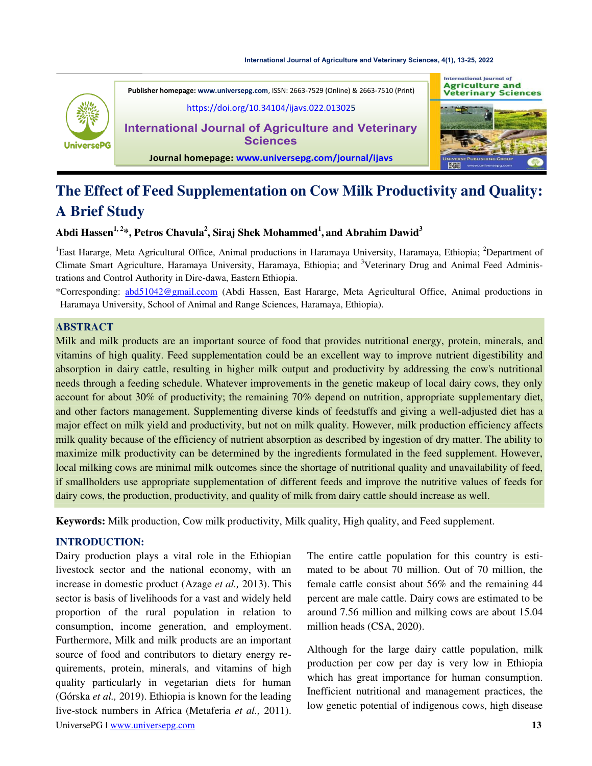#### **[International Journal of Agriculture and Veterinary Sciences, 4\(1\), 13-25, 2022](https://doi.org/10.34104/ijavs.022.013025)**



International Journal of **Agriculture and<br>Veterinary Sciences Publisher homepage[: www.universepg.com](http://www.universepg.com/)**, ISSN: 2663-7529 (Online) & 2663-7510 (Print) [https://doi.org/10.34104/ijavs.022.013025](https://doi.org/10.34104/ijavs.022.01302) **International Journal of Agriculture and Veterinary Sciences Journal homepage: [www.universepg.com/journal/ijavs](http://www.universepg.com/journal/ijavs)**

# The Effect of Feed Supplementation on Cow Milk Productivity and Quality: **A Brief Study**

## **Abdi Hassen1, 2\*, Petros Chavula<sup>2</sup> , Siraj Shek Mohammed<sup>1</sup> , and Abrahim Dawid<sup>3</sup>**

<sup>1</sup>East Hararge, Meta Agricultural Office, Animal productions in Haramaya University, Haramaya, Ethiopia; <sup>2</sup>Department of Climate Smart Agriculture, Haramaya University, Haramaya, Ethiopia; and <sup>3</sup>Veterinary Drug and Animal Feed Administrations and Control Authority in Dire-dawa, Eastern Ethiopia.

\*Corresponding: [abd51042@gmail.ccom](mailto:abd51042@gmail.ccom) (Abdi Hassen, East Hararge, Meta Agricultural Office, Animal productions in Haramaya University, School of Animal and Range Sciences, Haramaya, Ethiopia).

#### **ABSTRACT**

Milk and milk products are an important source of food that provides nutritional energy, protein, minerals, and vitamins of high quality. Feed supplementation could be an excellent way to improve nutrient digestibility and absorption in dairy cattle, resulting in higher milk output and productivity by addressing the cow's nutritional needs through a feeding schedule. Whatever improvements in the genetic makeup of local dairy cows, they only account for about 30% of productivity; the remaining 70% depend on nutrition, appropriate supplementary diet, and other factors management. Supplementing diverse kinds of feedstuffs and giving a well-adjusted diet has a major effect on milk yield and productivity, but not on milk quality. However, milk production efficiency affects milk quality because of the efficiency of nutrient absorption as described by ingestion of dry matter. The ability to maximize milk productivity can be determined by the ingredients formulated in the feed supplement. However, local milking cows are minimal milk outcomes since the shortage of nutritional quality and unavailability of feed, if smallholders use appropriate supplementation of different feeds and improve the nutritive values of feeds for dairy cows, the production, productivity, and quality of milk from dairy cattle should increase as well.

**Keywords:** Milk production, Cow milk productivity, Milk quality, High quality, and Feed supplement.

## **INTRODUCTION:**

UniversePG I [www.universepg.com](http://www.universepg.com/) **13** Dairy production plays a vital role in the Ethiopian livestock sector and the national economy, with an increase in domestic product (Azage *et al.,* 2013). This sector is basis of livelihoods for a vast and widely held proportion of the rural population in relation to consumption, income generation, and employment. Furthermore, Milk and milk products are an important source of food and contributors to dietary energy requirements, protein, minerals, and vitamins of high quality particularly in vegetarian diets for human (Górska *et al.,* 2019). Ethiopia is known for the leading live-stock numbers in Africa (Metaferia *et al.,* 2011).

The entire cattle population for this country is estimated to be about 70 million. Out of 70 million, the female cattle consist about 56% and the remaining 44 percent are male cattle. Dairy cows are estimated to be around 7.56 million and milking cows are about 15.04 million heads (CSA, 2020).

Although for the large dairy cattle population, milk production per cow per day is very low in Ethiopia which has great importance for human consumption. Inefficient nutritional and management practices, the low genetic potential of indigenous cows, high disease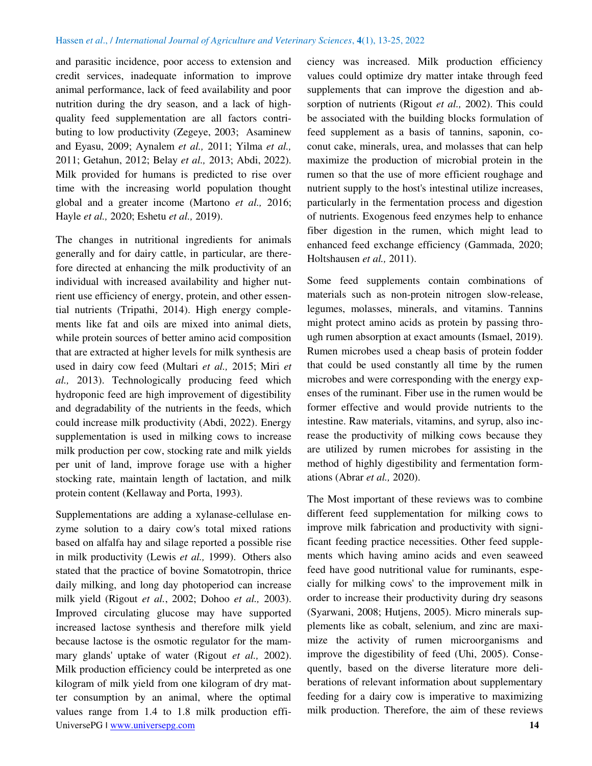#### Hassen *et al*., / *International Journal of Agriculture and Veterinary Sciences*, **4**(1), 13-25, 2022

and parasitic incidence, poor access to extension and credit services, inadequate information to improve animal performance, lack of feed availability and poor nutrition during the dry season, and a lack of highquality feed supplementation are all factors contributing to low productivity (Zegeye, 2003; Asaminew and Eyasu, 2009; Aynalem *et al.,* 2011; Yilma *et al.,* 2011; Getahun, 2012; Belay *et al.,* 2013; Abdi, 2022). Milk provided for humans is predicted to rise over time with the increasing world population thought global and a greater income (Martono *et al.,* 2016; Hayle *et al.,* 2020; Eshetu *et al.,* 2019).

The changes in nutritional ingredients for animals generally and for dairy cattle, in particular, are therefore directed at enhancing the milk productivity of an individual with increased availability and higher nutrient use efficiency of energy, protein, and other essential nutrients (Tripathi, 2014). High energy complements like fat and oils are mixed into animal diets, while protein sources of better amino acid composition that are extracted at higher levels for milk synthesis are used in dairy cow feed (Multari *et al.,* 2015; Miri *et al.,* 2013). Technologically producing feed which hydroponic feed are high improvement of digestibility and degradability of the nutrients in the feeds, which could increase milk productivity (Abdi, 2022). Energy supplementation is used in milking cows to increase milk production per cow, stocking rate and milk yields per unit of land, improve forage use with a higher stocking rate, maintain length of lactation, and milk protein content (Kellaway and Porta, 1993).

UniversePG I [www.universepg.com](http://www.universepg.com/) **14** Supplementations are adding a xylanase-cellulase enzyme solution to a dairy cow's total mixed rations based on alfalfa hay and silage reported a possible rise in milk productivity (Lewis *et al.,* 1999). Others also stated that the practice of bovine Somatotropin, thrice daily milking, and long day photoperiod can increase milk yield (Rigout *et al.*, 2002; Dohoo *et al.,* 2003). Improved circulating glucose may have supported increased lactose synthesis and therefore milk yield because lactose is the osmotic regulator for the mammary glands' uptake of water (Rigout *et al.,* 2002). Milk production efficiency could be interpreted as one kilogram of milk yield from one kilogram of dry matter consumption by an animal, where the optimal values range from 1.4 to 1.8 milk production effi-

ciency was increased. Milk production efficiency values could optimize dry matter intake through feed supplements that can improve the digestion and absorption of nutrients (Rigout *et al.,* 2002). This could be associated with the building blocks formulation of feed supplement as a basis of tannins, saponin, coconut cake, minerals, urea, and molasses that can help maximize the production of microbial protein in the rumen so that the use of more efficient roughage and nutrient supply to the host's intestinal utilize increases, particularly in the fermentation process and digestion of nutrients. Exogenous feed enzymes help to enhance fiber digestion in the rumen, which might lead to enhanced feed exchange efficiency (Gammada, 2020; Holtshausen *et al.,* 2011).

Some feed supplements contain combinations of materials such as non-protein nitrogen slow-release, legumes, molasses, minerals, and vitamins. Tannins might protect amino acids as protein by passing through rumen absorption at exact amounts (Ismael, 2019). Rumen microbes used a cheap basis of protein fodder that could be used constantly all time by the rumen microbes and were corresponding with the energy expenses of the ruminant. Fiber use in the rumen would be former effective and would provide nutrients to the intestine. Raw materials, vitamins, and syrup, also increase the productivity of milking cows because they are utilized by rumen microbes for assisting in the method of highly digestibility and fermentation formations (Abrar *et al.,* 2020).

The Most important of these reviews was to combine different feed supplementation for milking cows to improve milk fabrication and productivity with significant feeding practice necessities. Other feed supplements which having amino acids and even seaweed feed have good nutritional value for ruminants, especially for milking cows' to the improvement milk in order to increase their productivity during dry seasons (Syarwani, 2008; Hutjens, 2005). Micro minerals supplements like as cobalt, selenium, and zinc are maximize the activity of rumen microorganisms and improve the digestibility of feed (Uhi, 2005). Consequently, based on the diverse literature more deliberations of relevant information about supplementary feeding for a dairy cow is imperative to maximizing milk production. Therefore, the aim of these reviews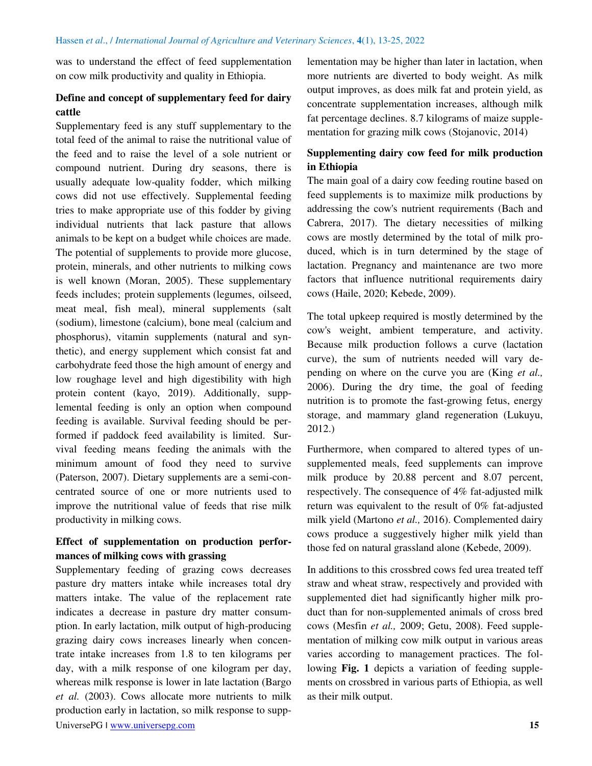was to understand the effect of feed supplementation on cow milk productivity and quality in Ethiopia.

## **Define and concept of supplementary feed for dairy cattle**

Supplementary feed is any stuff supplementary to the total feed of the animal to raise the nutritional value of the feed and to raise the level of a sole nutrient or compound nutrient. During dry seasons, there is usually adequate low-quality fodder, which milking cows did not use effectively. Supplemental feeding tries to make appropriate use of this fodder by giving individual nutrients that lack pasture that allows animals to be kept on a budget while choices are made. The potential of supplements to provide more glucose, protein, minerals, and other nutrients to milking cows is well known (Moran, 2005). These supplementary feeds includes; protein supplements (legumes, oilseed, meat meal, fish meal), mineral supplements (salt (sodium), limestone (calcium), bone meal (calcium and phosphorus), vitamin supplements (natural and synthetic), and energy supplement which consist fat and carbohydrate feed those the high amount of energy and low roughage level and high digestibility with high protein content (kayo, 2019). Additionally, supplemental feeding is only an option when compound feeding is available. Survival feeding should be performed if paddock feed availability is limited. Survival feeding means feeding the animals with the minimum amount of food they need to survive (Paterson, 2007). Dietary supplements are a semi-concentrated source of one or more nutrients used to improve the nutritional value of feeds that rise milk productivity in milking cows.

## **Effect of supplementation on production performances of milking cows with grassing**

UniversePG I [www.universepg.com](http://www.universepg.com/) **15** Supplementary feeding of grazing cows decreases pasture dry matters intake while increases total dry matters intake. The value of the replacement rate indicates a decrease in pasture dry matter consumption. In early lactation, milk output of high-producing grazing dairy cows increases linearly when concentrate intake increases from 1.8 to ten kilograms per day, with a milk response of one kilogram per day, whereas milk response is lower in late lactation (Bargo *et al.* (2003). Cows allocate more nutrients to milk production early in lactation, so milk response to supp-

lementation may be higher than later in lactation, when more nutrients are diverted to body weight. As milk output improves, as does milk fat and protein yield, as concentrate supplementation increases, although milk fat percentage declines. 8.7 kilograms of maize supplementation for grazing milk cows (Stojanovic, 2014)

## **Supplementing dairy cow feed for milk production in Ethiopia**

The main goal of a dairy cow feeding routine based on feed supplements is to maximize milk productions by addressing the cow's nutrient requirements (Bach and Cabrera, 2017). The dietary necessities of milking cows are mostly determined by the total of milk produced, which is in turn determined by the stage of lactation. Pregnancy and maintenance are two more factors that influence nutritional requirements dairy cows (Haile, 2020; Kebede, 2009).

The total upkeep required is mostly determined by the cow's weight, ambient temperature, and activity. Because milk production follows a curve (lactation curve), the sum of nutrients needed will vary depending on where on the curve you are (King *et al.,* 2006). During the dry time, the goal of feeding nutrition is to promote the fast-growing fetus, energy storage, and mammary gland regeneration (Lukuyu, 2012.)

Furthermore, when compared to altered types of unsupplemented meals, feed supplements can improve milk produce by 20.88 percent and 8.07 percent, respectively. The consequence of 4% fat-adjusted milk return was equivalent to the result of 0% fat-adjusted milk yield (Martono *et al.,* 2016). Complemented dairy cows produce a suggestively higher milk yield than those fed on natural grassland alone (Kebede, 2009).

In additions to this crossbred cows fed urea treated teff straw and wheat straw, respectively and provided with supplemented diet had significantly higher milk product than for non-supplemented animals of cross bred cows (Mesfin *et al.,* 2009; Getu, 2008). Feed supplementation of milking cow milk output in various areas varies according to management practices. The following **Fig. 1** depicts a variation of feeding supplements on crossbred in various parts of Ethiopia, as well as their milk output.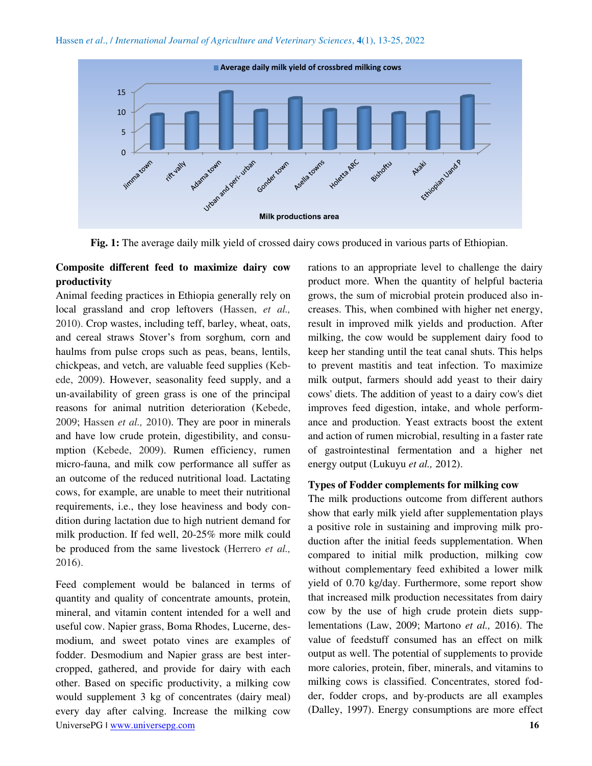

**Fig. 1:** The average daily milk yield of crossed dairy cows produced in various parts of Ethiopian.

## **Composite different feed to maximize dairy cow productivity**

Animal feeding practices in Ethiopia generally rely on local grassland and crop leftovers (Hassen, *et al.,* 2010). Crop wastes, including teff, barley, wheat, oats, and cereal straws Stover's from sorghum, corn and haulms from pulse crops such as peas, beans, lentils, chickpeas, and vetch, are valuable feed supplies (Kebede, 2009). However, seasonality feed supply, and a un-availability of green grass is one of the principal reasons for animal nutrition deterioration (Kebede, 2009; Hassen *et al.,* 2010). They are poor in minerals and have low crude protein, digestibility, and consumption (Kebede, 2009). Rumen efficiency, rumen micro-fauna, and milk cow performance all suffer as an outcome of the reduced nutritional load. Lactating cows, for example, are unable to meet their nutritional requirements, i.e., they lose heaviness and body condition during lactation due to high nutrient demand for milk production. If fed well, 20-25% more milk could be produced from the same livestock (Herrero *et al.,* 2016).

UniversePG I [www.universepg.com](http://www.universepg.com/) **16** Feed complement would be balanced in terms of quantity and quality of concentrate amounts, protein, mineral, and vitamin content intended for a well and useful cow. Napier grass, Boma Rhodes, Lucerne, desmodium, and sweet potato vines are examples of fodder. Desmodium and Napier grass are best intercropped, gathered, and provide for dairy with each other. Based on specific productivity, a milking cow would supplement 3 kg of concentrates (dairy meal) every day after calving. Increase the milking cow

rations to an appropriate level to challenge the dairy product more. When the quantity of helpful bacteria grows, the sum of microbial protein produced also increases. This, when combined with higher net energy, result in improved milk yields and production. After milking, the cow would be supplement dairy food to keep her standing until the teat canal shuts. This helps to prevent mastitis and teat infection. To maximize milk output, farmers should add yeast to their dairy cows' diets. The addition of yeast to a dairy cow's diet improves feed digestion, intake, and whole performance and production. Yeast extracts boost the extent and action of rumen microbial, resulting in a faster rate of gastrointestinal fermentation and a higher net energy output (Lukuyu *et al.,* 2012).

### **Types of Fodder complements for milking cow**

The milk productions outcome from different authors show that early milk yield after supplementation plays a positive role in sustaining and improving milk production after the initial feeds supplementation. When compared to initial milk production, milking cow without complementary feed exhibited a lower milk yield of 0.70 kg/day. Furthermore, some report show that increased milk production necessitates from dairy cow by the use of high crude protein diets supplementations (Law, 2009; Martono *et al.,* 2016). The value of feedstuff consumed has an effect on milk output as well. The potential of supplements to provide more calories, protein, fiber, minerals, and vitamins to milking cows is classified. Concentrates, stored fodder, fodder crops, and by-products are all examples (Dalley, 1997). Energy consumptions are more effect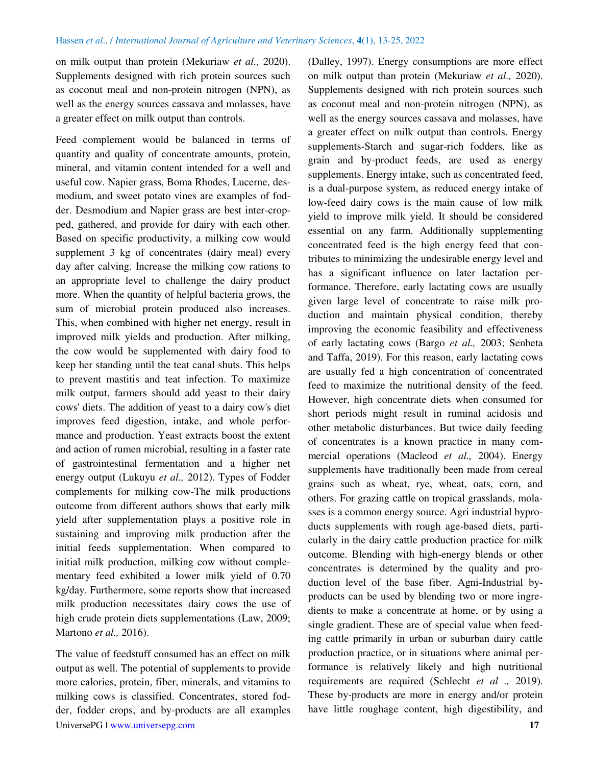on milk output than protein (Mekuriaw *et al.,* 2020). Supplements designed with rich protein sources such as coconut meal and non-protein nitrogen (NPN), as well as the energy sources cassava and molasses, have a greater effect on milk output than controls.

Feed complement would be balanced in terms of quantity and quality of concentrate amounts, protein, mineral, and vitamin content intended for a well and useful cow. Napier grass, Boma Rhodes, Lucerne, desmodium, and sweet potato vines are examples of fodder. Desmodium and Napier grass are best inter-cropped, gathered, and provide for dairy with each other. Based on specific productivity, a milking cow would supplement 3 kg of concentrates (dairy meal) every day after calving. Increase the milking cow rations to an appropriate level to challenge the dairy product more. When the quantity of helpful bacteria grows, the sum of microbial protein produced also increases. This, when combined with higher net energy, result in improved milk yields and production. After milking, the cow would be supplemented with dairy food to keep her standing until the teat canal shuts. This helps to prevent mastitis and teat infection. To maximize milk output, farmers should add yeast to their dairy cows' diets. The addition of yeast to a dairy cow's diet improves feed digestion, intake, and whole performance and production. Yeast extracts boost the extent and action of rumen microbial, resulting in a faster rate of gastrointestinal fermentation and a higher net energy output (Lukuyu *et al.,* 2012). Types of Fodder complements for milking cow-The milk productions outcome from different authors shows that early milk yield after supplementation plays a positive role in sustaining and improving milk production after the initial feeds supplementation. When compared to initial milk production, milking cow without complementary feed exhibited a lower milk yield of 0.70 kg/day. Furthermore, some reports show that increased milk production necessitates dairy cows the use of high crude protein diets supplementations (Law, 2009; Martono *et al.,* 2016).

UniversePG I [www.universepg.com](http://www.universepg.com/) **17** The value of feedstuff consumed has an effect on milk output as well. The potential of supplements to provide more calories, protein, fiber, minerals, and vitamins to milking cows is classified. Concentrates, stored fodder, fodder crops, and by-products are all examples

(Dalley, 1997). Energy consumptions are more effect on milk output than protein (Mekuriaw *et al.,* 2020). Supplements designed with rich protein sources such as coconut meal and non-protein nitrogen (NPN), as well as the energy sources cassava and molasses, have a greater effect on milk output than controls. Energy supplements-Starch and sugar-rich fodders, like as grain and by-product feeds, are used as energy supplements. Energy intake, such as concentrated feed, is a dual-purpose system, as reduced energy intake of low-feed dairy cows is the main cause of low milk yield to improve milk yield. It should be considered essential on any farm. Additionally supplementing concentrated feed is the high energy feed that contributes to minimizing the undesirable energy level and has a significant influence on later lactation performance. Therefore, early lactating cows are usually given large level of concentrate to raise milk production and maintain physical condition, thereby improving the economic feasibility and effectiveness of early lactating cows (Bargo *et al.,* 2003; Senbeta and Taffa, 2019). For this reason, early lactating cows are usually fed a high concentration of concentrated feed to maximize the nutritional density of the feed. However, high concentrate diets when consumed for short periods might result in ruminal acidosis and other metabolic disturbances. But twice daily feeding of concentrates is a known practice in many commercial operations (Macleod *et al.,* 2004). Energy supplements have traditionally been made from cereal grains such as wheat, rye, wheat, oats, corn, and others. For grazing cattle on tropical grasslands, molasses is a common energy source. Agri industrial byproducts supplements with rough age-based diets, particularly in the dairy cattle production practice for milk outcome. Blending with high-energy blends or other concentrates is determined by the quality and production level of the base fiber. Agni-Industrial byproducts can be used by blending two or more ingredients to make a concentrate at home, or by using a single gradient. These are of special value when feeding cattle primarily in urban or suburban dairy cattle production practice, or in situations where animal performance is relatively likely and high nutritional requirements are required (Schlecht *et al .,* 2019). These by-products are more in energy and/or protein have little roughage content, high digestibility, and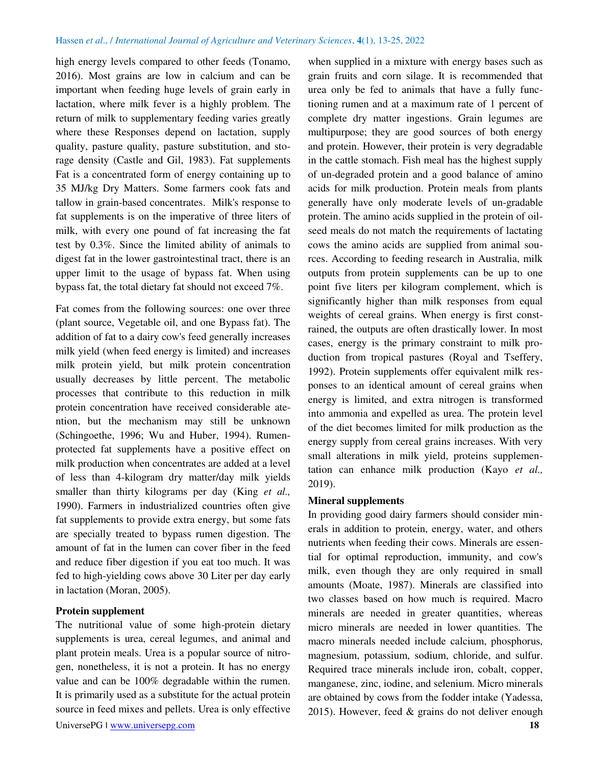high energy levels compared to other feeds (Tonamo, 2016). Most grains are low in calcium and can be important when feeding huge levels of grain early in lactation, where milk fever is a highly problem. The return of milk to supplementary feeding varies greatly where these Responses depend on lactation, supply quality, pasture quality, pasture substitution, and storage density (Castle and Gil, 1983). Fat supplements Fat is a concentrated form of energy containing up to 35 MJ/kg Dry Matters. Some farmers cook fats and tallow in grain-based concentrates. Milk's response to fat supplements is on the imperative of three liters of milk, with every one pound of fat increasing the fat test by 0.3%. Since the limited ability of animals to digest fat in the lower gastrointestinal tract, there is an upper limit to the usage of bypass fat. When using bypass fat, the total dietary fat should not exceed 7%.

Fat comes from the following sources: one over three (plant source, Vegetable oil, and one Bypass fat). The addition of fat to a dairy cow's feed generally increases milk yield (when feed energy is limited) and increases milk protein yield, but milk protein concentration usually decreases by little percent. The metabolic processes that contribute to this reduction in milk protein concentration have received considerable atention, but the mechanism may still be unknown (Schingoethe, 1996; Wu and Huber, 1994). Rumenprotected fat supplements have a positive effect on milk production when concentrates are added at a level of less than 4-kilogram dry matter/day milk yields smaller than thirty kilograms per day (King *et al.,* 1990). Farmers in industrialized countries often give fat supplements to provide extra energy, but some fats are specially treated to bypass rumen digestion. The amount of fat in the lumen can cover fiber in the feed and reduce fiber digestion if you eat too much. It was fed to high-yielding cows above 30 Liter per day early in lactation (Moran, 2005).

#### **Protein supplement**

The nutritional value of some high-protein dietary supplements is urea, cereal legumes, and animal and plant protein meals. Urea is a popular source of nitrogen, nonetheless, it is not a protein. It has no energy value and can be 100% degradable within the rumen. It is primarily used as a substitute for the actual protein source in feed mixes and pellets. Urea is only effective

when supplied in a mixture with energy bases such as grain fruits and corn silage. It is recommended that urea only be fed to animals that have a fully functioning rumen and at a maximum rate of 1 percent of complete dry matter ingestions. Grain legumes are multipurpose; they are good sources of both energy and protein. However, their protein is very degradable in the cattle stomach. Fish meal has the highest supply of un-degraded protein and a good balance of amino acids for milk production. Protein meals from plants generally have only moderate levels of un-gradable protein. The amino acids supplied in the protein of oilseed meals do not match the requirements of lactating cows the amino acids are supplied from animal sources. According to feeding research in Australia, milk outputs from protein supplements can be up to one point five liters per kilogram complement, which is significantly higher than milk responses from equal weights of cereal grains. When energy is first constrained, the outputs are often drastically lower. In most cases, energy is the primary constraint to milk production from tropical pastures (Royal and Tseffery, 1992). Protein supplements offer equivalent milk responses to an identical amount of cereal grains when energy is limited, and extra nitrogen is transformed into ammonia and expelled as urea. The protein level of the diet becomes limited for milk production as the energy supply from cereal grains increases. With very small alterations in milk yield, proteins supplementation can enhance milk production (Kayo *et al.,* 2019).

#### **Mineral supplements**

In providing good dairy farmers should consider minerals in addition to protein, energy, water, and others nutrients when feeding their cows. Minerals are essential for optimal reproduction, immunity, and cow's milk, even though they are only required in small amounts (Moate, 1987). Minerals are classified into two classes based on how much is required. Macro minerals are needed in greater quantities, whereas micro minerals are needed in lower quantities. The macro minerals needed include calcium, phosphorus, magnesium, potassium, sodium, chloride, and sulfur. Required trace minerals include iron, cobalt, copper, manganese, zinc, iodine, and selenium. Micro minerals are obtained by cows from the fodder intake (Yadessa, 2015). However, feed & grains do not deliver enough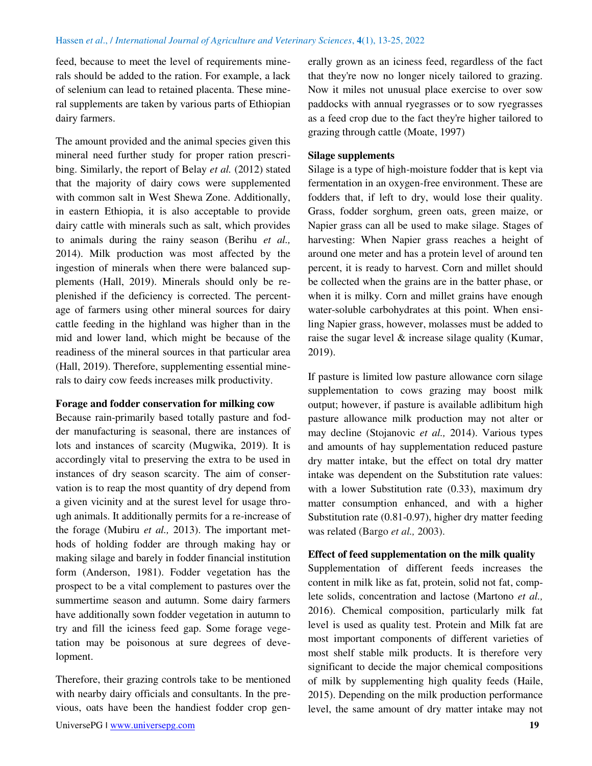feed, because to meet the level of requirements minerals should be added to the ration. For example, a lack of selenium can lead to retained placenta. These mineral supplements are taken by various parts of Ethiopian dairy farmers.

The amount provided and the animal species given this mineral need further study for proper ration prescribing. Similarly, the report of Belay *et al.* (2012) stated that the majority of dairy cows were supplemented with common salt in West Shewa Zone. Additionally, in eastern Ethiopia, it is also acceptable to provide dairy cattle with minerals such as salt, which provides to animals during the rainy season (Berihu *et al.,* 2014). Milk production was most affected by the ingestion of minerals when there were balanced supplements (Hall, 2019). Minerals should only be replenished if the deficiency is corrected. The percentage of farmers using other mineral sources for dairy cattle feeding in the highland was higher than in the mid and lower land, which might be because of the readiness of the mineral sources in that particular area (Hall, 2019). Therefore, supplementing essential minerals to dairy cow feeds increases milk productivity.

#### **Forage and fodder conservation for milking cow**

Because rain-primarily based totally pasture and fodder manufacturing is seasonal, there are instances of lots and instances of scarcity (Mugwika, 2019). It is accordingly vital to preserving the extra to be used in instances of dry season scarcity. The aim of conservation is to reap the most quantity of dry depend from a given vicinity and at the surest level for usage through animals. It additionally permits for a re-increase of the forage (Mubiru *et al.,* 2013). The important methods of holding fodder are through making hay or making silage and barely in fodder financial institution form (Anderson, 1981). Fodder vegetation has the prospect to be a vital complement to pastures over the summertime season and autumn. Some dairy farmers have additionally sown fodder vegetation in autumn to try and fill the iciness feed gap. Some forage vegetation may be poisonous at sure degrees of development.

Therefore, their grazing controls take to be mentioned with nearby dairy officials and consultants. In the previous, oats have been the handiest fodder crop generally grown as an iciness feed, regardless of the fact that they're now no longer nicely tailored to grazing. Now it miles not unusual place exercise to over sow paddocks with annual ryegrasses or to sow ryegrasses as a feed crop due to the fact they're higher tailored to grazing through cattle (Moate, 1997)

#### **Silage supplements**

Silage is a type of high-moisture fodder that is kept via fermentation in an oxygen-free environment. These are fodders that, if left to dry, would lose their quality. Grass, fodder sorghum, green oats, green maize, or Napier grass can all be used to make silage. Stages of harvesting: When Napier grass reaches a height of around one meter and has a protein level of around ten percent, it is ready to harvest. Corn and millet should be collected when the grains are in the batter phase, or when it is milky. Corn and millet grains have enough water-soluble carbohydrates at this point. When ensiling Napier grass, however, molasses must be added to raise the sugar level  $\&$  increase silage quality (Kumar, 2019).

If pasture is limited low pasture allowance corn silage supplementation to cows grazing may boost milk output; however, if pasture is available adlibitum high pasture allowance milk production may not alter or may decline (Stojanovic *et al.,* 2014). Various types and amounts of hay supplementation reduced pasture dry matter intake, but the effect on total dry matter intake was dependent on the Substitution rate values: with a lower Substitution rate (0.33), maximum dry matter consumption enhanced, and with a higher Substitution rate (0.81-0.97), higher dry matter feeding was related (Bargo *et al.,* 2003).

#### **Effect of feed supplementation on the milk quality**

Supplementation of different feeds increases the content in milk like as fat, protein, solid not fat, complete solids, concentration and lactose (Martono *et al.,* 2016). Chemical composition, particularly milk fat level is used as quality test. Protein and Milk fat are most important components of different varieties of most shelf stable milk products. It is therefore very significant to decide the major chemical compositions of milk by supplementing high quality feeds (Haile, 2015). Depending on the milk production performance level, the same amount of dry matter intake may not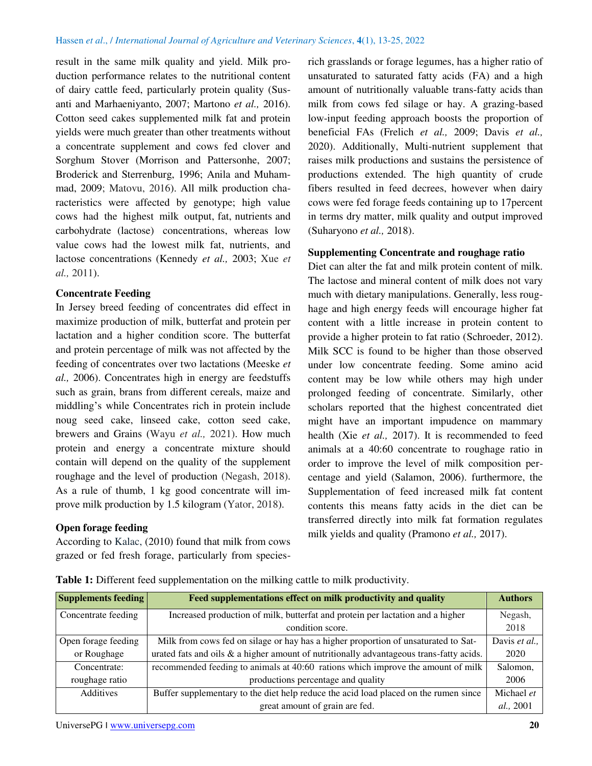result in the same milk quality and yield. Milk production performance relates to the nutritional content of dairy cattle feed, particularly protein quality (Susanti and Marhaeniyanto, 2007; Martono *et al.,* 2016). Cotton seed cakes supplemented milk fat and protein yields were much greater than other treatments without a concentrate supplement and cows fed clover and Sorghum Stover (Morrison and Pattersonhe, 2007; Broderick and Sterrenburg, 1996; Anila and Muhammad, 2009; Matovu, 2016). All milk production characteristics were affected by genotype; high value cows had the highest milk output, fat, nutrients and carbohydrate (lactose) concentrations, whereas low value cows had the lowest milk fat, nutrients, and lactose concentrations (Kennedy *et al.,* 2003; Xue *et al.,* 2011).

## **Concentrate Feeding**

In Jersey breed feeding of concentrates did effect in maximize production of milk, butterfat and protein per lactation and a higher condition score. The butterfat and protein percentage of milk was not affected by the feeding of concentrates over two lactations (Meeske *et al.,* 2006). Concentrates high in energy are feedstuffs such as grain, brans from different cereals, maize and middling's while Concentrates rich in protein include noug seed cake, linseed cake, cotton seed cake, brewers and Grains (Wayu *et al.,* 2021). How much protein and energy a concentrate mixture should contain will depend on the quality of the supplement roughage and the level of production (Negash, 2018). As a rule of thumb, 1 kg good concentrate will improve milk production by 1.5 kilogram (Yator, 2018).

## **Open forage feeding**

According to Kalac, (2010) found that milk from cows grazed or fed fresh forage, particularly from speciesrich grasslands or forage legumes, has a higher ratio of unsaturated to saturated fatty acids (FA) and a high amount of nutritionally valuable trans-fatty acids than milk from cows fed silage or hay. A grazing-based low-input feeding approach boosts the proportion of beneficial FAs (Frelich *et al.,* 2009; Davis *et al.,* 2020). Additionally, Multi-nutrient supplement that raises milk productions and sustains the persistence of productions extended. The high quantity of crude fibers resulted in feed decrees, however when dairy cows were fed forage feeds containing up to 17percent in terms dry matter, milk quality and output improved (Suharyono *et al.,* 2018).

## **Supplementing Concentrate and roughage ratio**

Diet can alter the fat and milk protein content of milk. The lactose and mineral content of milk does not vary much with dietary manipulations. Generally, less roughage and high energy feeds will encourage higher fat content with a little increase in protein content to provide a higher protein to fat ratio (Schroeder, 2012). Milk SCC is found to be higher than those observed under low concentrate feeding. Some amino acid content may be low while others may high under prolonged feeding of concentrate. Similarly, other scholars reported that the highest concentrated diet might have an important impudence on mammary health (Xie *et al.,* 2017). It is recommended to feed animals at a 40:60 concentrate to roughage ratio in order to improve the level of milk composition percentage and yield (Salamon, 2006). furthermore, the Supplementation of feed increased milk fat content contents this means fatty acids in the diet can be transferred directly into milk fat formation regulates milk yields and quality (Pramono *et al.,* 2017).

| <b>Supplements feeding</b> | Feed supplementations effect on milk productivity and quality                              | <b>Authors</b>    |
|----------------------------|--------------------------------------------------------------------------------------------|-------------------|
| Concentrate feeding        | Increased production of milk, butterfat and protein per lactation and a higher             | Negash,           |
|                            | condition score.                                                                           | 2018              |
| Open forage feeding        | Milk from cows fed on silage or hay has a higher proportion of unsaturated to Sat-         | Davis et al.,     |
| or Roughage                | urated fats and oils $\&$ a higher amount of nutritionally advantageous trans-fatty acids. | 2020              |
| Concentrate:               | recommended feeding to animals at 40:60 rations which improve the amount of milk           | Salomon,          |
| roughage ratio             | productions percentage and quality                                                         | 2006              |
| <b>Additives</b>           | Buffer supplementary to the diet help reduce the acid load placed on the rumen since       | Michael et        |
|                            | great amount of grain are fed.                                                             | <i>al.</i> , 2001 |

**Table 1:** Different feed supplementation on the milking cattle to milk productivity.

UniversePG I [www.universepg.com](http://www.universepg.com/) **20 20**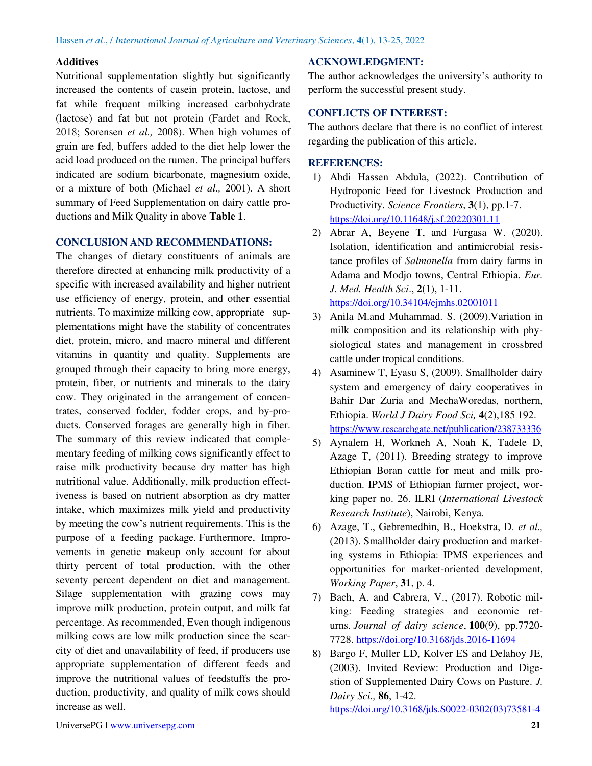## **Additives**

Nutritional supplementation slightly but significantly increased the contents of casein protein, lactose, and fat while frequent milking increased carbohydrate (lactose) and fat but not protein (Fardet and Rock, 2018; Sorensen *et al.,* 2008). When high volumes of grain are fed, buffers added to the diet help lower the acid load produced on the rumen. The principal buffers indicated are sodium bicarbonate, magnesium oxide, or a mixture of both (Michael *et al.,* 2001). A short summary of Feed Supplementation on dairy cattle productions and Milk Quality in above **Table 1**.

## **CONCLUSION AND RECOMMENDATIONS:**

The changes of dietary constituents of animals are therefore directed at enhancing milk productivity of a specific with increased availability and higher nutrient use efficiency of energy, protein, and other essential nutrients. To maximize milking cow, appropriate supplementations might have the stability of concentrates diet, protein, micro, and macro mineral and different vitamins in quantity and quality. Supplements are grouped through their capacity to bring more energy, protein, fiber, or nutrients and minerals to the dairy cow. They originated in the arrangement of concentrates, conserved fodder, fodder crops, and by-products. Conserved forages are generally high in fiber. The summary of this review indicated that complementary feeding of milking cows significantly effect to raise milk productivity because dry matter has high nutritional value. Additionally, milk production effectiveness is based on nutrient absorption as dry matter intake, which maximizes milk yield and productivity by meeting the cow's nutrient requirements. This is the purpose of a feeding package. Furthermore, Improvements in genetic makeup only account for about thirty percent of total production, with the other seventy percent dependent on diet and management. Silage supplementation with grazing cows may improve milk production, protein output, and milk fat percentage. As recommended, Even though indigenous milking cows are low milk production since the scarcity of diet and unavailability of feed, if producers use appropriate supplementation of different feeds and improve the nutritional values of feedstuffs the production, productivity, and quality of milk cows should increase as well.

## **ACKNOWLEDGMENT:**

The author acknowledges the university's authority to perform the successful present study.

## **CONFLICTS OF INTEREST:**

The authors declare that there is no conflict of interest regarding the publication of this article.

## **REFERENCES:**

- 1) Abdi Hassen Abdula, (2022). Contribution of Hydroponic Feed for Livestock Production and Productivity. *Science Frontiers*, **3**(1), pp.1-7. <https://doi.org/10.11648/j.sf.20220301.11>
- 2) Abrar A, Beyene T, and Furgasa W. (2020). Isolation, identification and antimicrobial resistance profiles of *Salmonella* from dairy farms in Adama and Modjo towns, Central Ethiopia. *Eur. J. Med. Health Sci*., **2**(1), 1-11. <https://doi.org/10.34104/ejmhs.02001011>
- 3) Anila M.and Muhammad. S. (2009).Variation in milk composition and its relationship with physiological states and management in crossbred cattle under tropical conditions.
- 4) Asaminew T, Eyasu S, (2009). Smallholder dairy system and emergency of dairy cooperatives in Bahir Dar Zuria and MechaWoredas, northern, Ethiopia. *World J Dairy Food Sci,* **4**(2),185 192. https://www.researchgate[.net/publication/](https://www.researchgate.net/publication/238733336)238733336
- 5) Aynalem H, Workneh A, Noah K, Tadele D, Azage T, (2011). Breeding strategy to improve Ethiopian Boran cattle for meat and milk production. IPMS of Ethiopian farmer project, working paper no. 26. ILRI (*International Livestock Research Institute*), Nairobi, Kenya.
- 6) Azage, T., Gebremedhin, B., Hoekstra, D. *et al.,* (2013). Smallholder dairy production and marketing systems in Ethiopia: IPMS experiences and opportunities for market-oriented development, *Working Paper*, **31**, p. 4.
- 7) Bach, A. and Cabrera, V., (2017). Robotic milking: Feeding strategies and economic returns. *Journal of dairy science*, **100**(9), pp.7720- 7728. <https://doi.org/10.3168/jds.2016-11694>
- 8) Bargo F, Muller LD, Kolver ES and Delahoy JE, (2003). Invited Review: Production and Digestion of Supplemented Dairy Cows on Pasture. *J. Dairy Sci.,* **86**, 1-42. [https://doi.org/10.3168/jds.S0022-0302\(03\)73581-4](https://doi.org/10.3168/jds.S0022-0302(03)73581-4)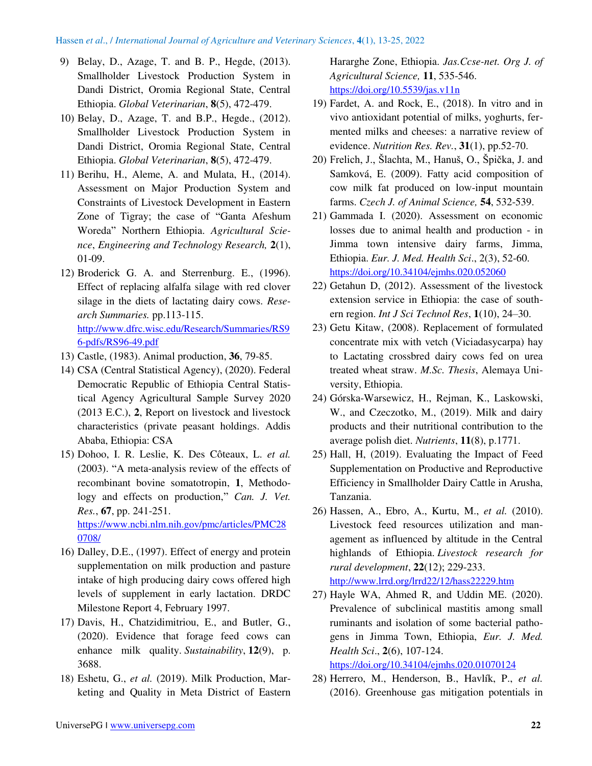- 9) Belay, D., Azage, T. and B. P., Hegde, (2013). Smallholder Livestock Production System in Dandi District, Oromia Regional State, Central Ethiopia. *Global Veterinarian*, **8**(5), 472-479.
- 10) Belay, D., Azage, T. and B.P., Hegde., (2012). Smallholder Livestock Production System in Dandi District, Oromia Regional State, Central Ethiopia. *Global Veterinarian*, **8**(5), 472-479.
- 11) Berihu, H., Aleme, A. and Mulata, H., (2014). Assessment on Major Production System and Constraints of Livestock Development in Eastern Zone of Tigray; the case of "Ganta Afeshum Woreda" Northern Ethiopia. *Agricultural Science*, *Engineering and Technology Research,* **2**(1), 01-09.
- 12) Broderick G. A. and Sterrenburg. E., (1996). Effect of replacing alfalfa silage with red clover silage in the diets of lactating dairy cows. *Research Summaries.* pp.113-115. [http://www.dfrc.wisc.edu/Research/Summaries/RS9](http://www.dfrc.wisc.edu/Research/Summaries/RS96-pdfs/RS96-49.pdf) [6-pdfs/RS96-49.pdf](http://www.dfrc.wisc.edu/Research/Summaries/RS96-pdfs/RS96-49.pdf)
- 13) Castle, (1983). Animal production, **36**, 79-85.
- 14) CSA (Central Statistical Agency), (2020). Federal Democratic Republic of Ethiopia Central Statistical Agency Agricultural Sample Survey 2020 (2013 E.C.), **2**, Report on livestock and livestock characteristics (private peasant holdings. Addis Ababa, Ethiopia: CSA
- 15) Dohoo, I. R. Leslie, K. Des Côteaux, L. *et al.* (2003). "A meta-analysis review of the effects of recombinant bovine somatotropin, **1**, Methodology and effects on production," Can. J. Vet. *Res.*, **67**, pp. 241-251. [https://www.ncbi.nlm.nih.gov/pmc/articles/PMC28](https://www.ncbi.nlm.nih.gov/pmc/articles/PMC280708/) [0708/](https://www.ncbi.nlm.nih.gov/pmc/articles/PMC280708/)
- 16) Dalley, D.E., (1997). Effect of energy and protein supplementation on milk production and pasture intake of high producing dairy cows offered high levels of supplement in early lactation. DRDC Milestone Report 4, February 1997.
- 17) Davis, H., Chatzidimitriou, E., and Butler, G., (2020). Evidence that forage feed cows can enhance milk quality. *Sustainability*, **12**(9), p. 3688.
- 18) Eshetu, G., *et al.* (2019). Milk Production, Marketing and Quality in Meta District of Eastern

Hararghe Zone, Ethiopia. *Jas.Ccse-net. Org J. of Agricultural Science,* **11**, 535-546. <https://doi.org/10.5539/jas.v11n>

- 19) Fardet, A. and Rock, E., (2018). In vitro and in vivo antioxidant potential of milks, yoghurts, fermented milks and cheeses: a narrative review of evidence. *Nutrition Res. Rev.*, **31**(1), pp.52-70.
- 20) Frelich, J., Šlachta, M., Hanuš, O., Špička, J. and Samková, E. (2009). Fatty acid composition of cow milk fat produced on low-input mountain farms. *Czech J. of Animal Science,* **54**, 532-539.
- 21) Gammada I. (2020). Assessment on economic losses due to animal health and production - in Jimma town intensive dairy farms, Jimma, Ethiopia. *Eur. J. Med. Health Sci*., 2(3), 52-60. <https://doi.org/10.34104/ejmhs.020.052060>
- 22) Getahun D, (2012). Assessment of the livestock extension service in Ethiopia: the case of southern region. *Int J Sci Technol Res*, **1**(10), 24–30.
- 23) Getu Kitaw, (2008). Replacement of formulated concentrate mix with vetch (Viciadasycarpa) hay to Lactating crossbred dairy cows fed on urea treated wheat straw. *M.Sc. Thesis*, Alemaya University, Ethiopia.
- 24) Górska-Warsewicz, H., Rejman, K., Laskowski, W., and Czeczotko, M., (2019). Milk and dairy products and their nutritional contribution to the average polish diet. *Nutrients*, **11**(8), p.1771.
- 25) Hall, H, (2019). Evaluating the Impact of Feed Supplementation on Productive and Reproductive Efficiency in Smallholder Dairy Cattle in Arusha, Tanzania.
- 26) Hassen, A., Ebro, A., Kurtu, M., *et al.* (2010). Livestock feed resources utilization and management as influenced by altitude in the Central highlands of Ethiopia. *Livestock research for rural development*, **22**(12); 229-233. <http://www.lrrd.org/lrrd22/12/hass22229.htm>
- 27) Hayle WA, Ahmed R, and Uddin ME. (2020). Prevalence of subclinical mastitis among small ruminants and isolation of some bacterial pathogens in Jimma Town, Ethiopia, *Eur. J. Med. Health Sci*., **2**(6), 107-124.

<https://doi.org/10.34104/ejmhs.020.01070124>

28) Herrero, M., Henderson, B., Havlík, P., *et al.* (2016). Greenhouse gas mitigation potentials in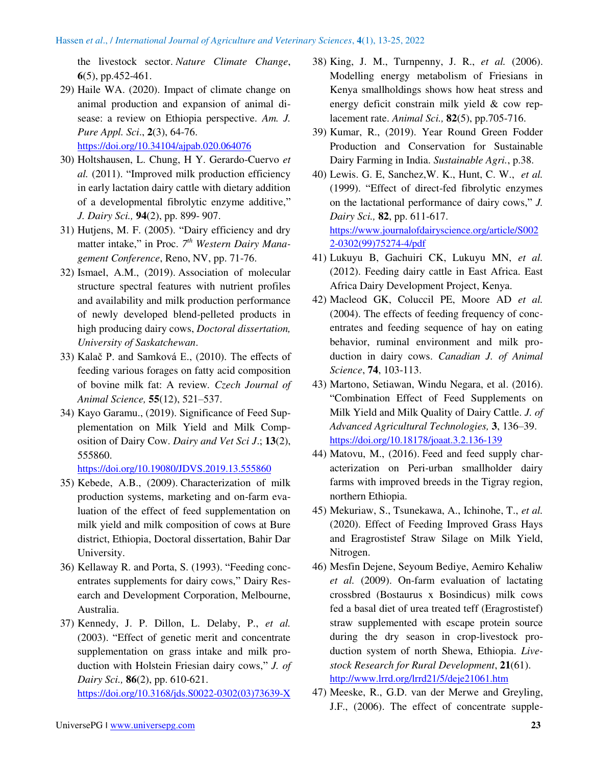the livestock sector. *Nature Climate Change*, **6**(5), pp.452-461.

- 29) Haile WA. (2020). Impact of climate change on animal production and expansion of animal disease: a review on Ethiopia perspective. *Am. J. Pure Appl. Sci*., **2**(3), 64-76. <https://doi.org/10.34104/ajpab.020.064076>
- 30) Holtshausen, L. Chung, H Y. Gerardo-Cuervo *et al.* (2011). "Improved milk production efficiency in early lactation dairy cattle with dietary addition of a developmental fibrolytic enzyme additive," *J. Dairy Sci.,* **94**(2), pp. 899- 907.
- 31) Hutjens, M. F. (2005). "Dairy efficiency and dry matter intake," in Proc. 7<sup>th</sup> Western Dairy Mana*gement Conference*, Reno, NV, pp. 71-76.
- 32) Ismael, A.M., (2019). Association of molecular structure spectral features with nutrient profiles and availability and milk production performance of newly developed blend-pelleted products in high producing dairy cows, *Doctoral dissertation, University of Saskatchewan*.
- 33) Kalač P. and Samková E., (2010). The effects of feeding various forages on fatty acid composition of bovine milk fat: A review*. Czech Journal of Animal Science,* **55**(12), 521–537.
- 34) Kayo Garamu., (2019). Significance of Feed Supplementation on Milk Yield and Milk Composition of Dairy Cow. *Dairy and Vet Sci J*.; **13**(2), 555860.

<https://doi.org/10.19080/JDVS.2019.13.555860>

- 35) Kebede, A.B., (2009). Characterization of milk production systems, marketing and on-farm evaluation of the effect of feed supplementation on milk yield and milk composition of cows at Bure district, Ethiopia, Doctoral dissertation, Bahir Dar University.
- 36) Kellaway R. and Porta, S. (1993). "Feeding concentrates supplements for dairy cows," Dairy Research and Development Corporation, Melbourne, Australia.
- 37) Kennedy, J. P. Dillon, L. Delaby, P., *et al.* (2003). "Effect of genetic merit and concentrate supplementation on grass intake and milk production with Holstein Friesian dairy cows," *J. of Dairy Sci.,* **86**(2), pp. 610-621.

[https://doi.org/10.3168/jds.S0022-0302\(03\)73639-X](https://doi.org/10.3168/jds.S0022-0302(03)73639-X) 

- 38) King, J. M., Turnpenny, J. R., *et al.* (2006). Modelling energy metabolism of Friesians in Kenya smallholdings shows how heat stress and energy deficit constrain milk yield & cow replacement rate. *Animal Sci.,* **82**(5), pp.705-716.
- 39) Kumar, R., (2019). Year Round Green Fodder Production and Conservation for Sustainable Dairy Farming in India. *Sustainable Agri.*, p.38.
- 40) Lewis. G. E, Sanchez,W. K., Hunt, C. W., *et al.* (1999). "Effect of direct-fed fibrolytic enzymes on the lactational performance of dairy cows," *J. Dairy Sci.,* **82**, pp. 611-617. [https://www.journalofdairyscience.org/article/S002](https://www.journalofdairyscience.org/article/S0022-0302(99)75274-4/pdf) [2-0302\(99\)75274-4/pdf](https://www.journalofdairyscience.org/article/S0022-0302(99)75274-4/pdf)
- 41) Lukuyu B, Gachuiri CK, Lukuyu MN, *et al.* (2012). Feeding dairy cattle in East Africa. East Africa Dairy Development Project, Kenya.
- 42) Macleod GK, Coluccil PE, Moore AD *et al.* (2004). The effects of feeding frequency of concentrates and feeding sequence of hay on eating behavior, ruminal environment and milk production in dairy cows. *Canadian J. of Animal Science*, **74**, 103-113.
- 43) Martono, Setiawan, Windu Negara, et al. (2016). "Combination Effect of Feed Supplements on Milk Yield and Milk Quality of Dairy Cattle. *J. of Advanced Agricultural Technologies,* **3**, 136–39. <https://doi.org/10.18178/joaat.3.2.136-139>
- 44) Matovu, M., (2016). Feed and feed supply characterization on Peri-urban smallholder dairy farms with improved breeds in the Tigray region, northern Ethiopia.
- 45) Mekuriaw, S., Tsunekawa, A., Ichinohe, T., *et al.* (2020). Effect of Feeding Improved Grass Hays and Eragrostistef Straw Silage on Milk Yield, Nitrogen.
- 46) Mesfin Dejene, Seyoum Bediye, Aemiro Kehaliw *et al.* (2009). On-farm evaluation of lactating crossbred (Bostaurus x Bosindicus) milk cows fed a basal diet of urea treated teff (Eragrostistef) straw supplemented with escape protein source during the dry season in crop-livestock production system of north Shewa, Ethiopia. *Livestock Research for Rural Development*, **21**(61). <http://www.lrrd.org/lrrd21/5/deje21061.htm>
- 47) Meeske, R., G.D. van der Merwe and Greyling, J.F., (2006). The effect of concentrate supple-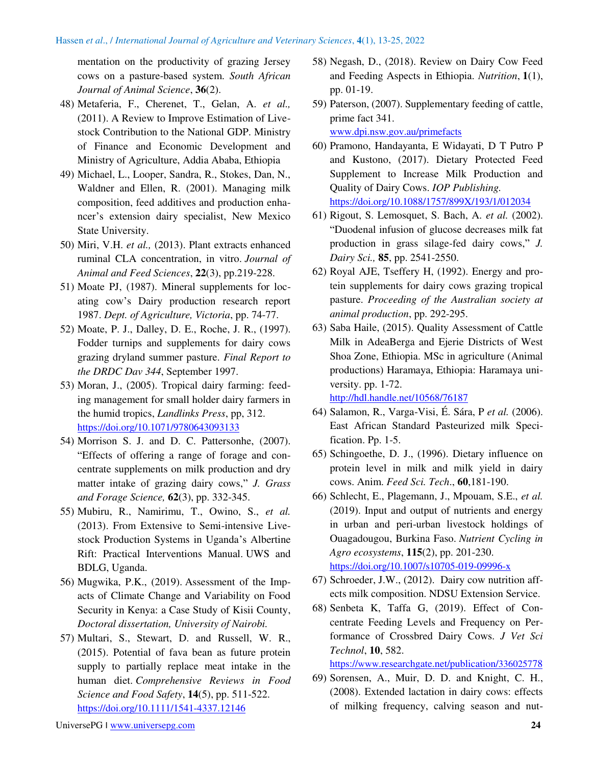mentation on the productivity of grazing Jersey cows on a pasture-based system. *South African Journal of Animal Science*, **36**(2).

- 48) Metaferia, F., Cherenet, T., Gelan, A. *et al.,* (2011). A Review to Improve Estimation of Livestock Contribution to the National GDP. Ministry of Finance and Economic Development and Ministry of Agriculture, Addia Ababa, Ethiopia
- 49) Michael, L., Looper, Sandra, R., Stokes, Dan, N., Waldner and Ellen, R. (2001). Managing milk composition, feed additives and production enhancer's extension dairy specialist, New Mexico State University.
- 50) Miri, V.H. *et al.,* (2013). Plant extracts enhanced ruminal CLA concentration, in vitro. *Journal of Animal and Feed Sciences*, **22**(3), pp.219-228.
- 51) Moate PJ, (1987). Mineral supplements for locating cow's Dairy production research report 1987. *Dept. of Agriculture, Victoria*, pp. 74-77.
- 52) Moate, P. J., Dalley, D. E., Roche, J. R., (1997). Fodder turnips and supplements for dairy cows grazing dryland summer pasture. *Final Report to the DRDC Dav 344*, September 1997.
- 53) Moran, J., (2005). Tropical dairy farming: feeding management for small holder dairy farmers in the humid tropics, *Landlinks Press*, pp, 312. <https://doi.org/10.1071/9780643093133>
- 54) Morrison S. J. and D. C. Pattersonhe, (2007). "Effects of offering a range of forage and concentrate supplements on milk production and dry matter intake of grazing dairy cows," *J. Grass and Forage Science,* **62**(3), pp. 332-345.
- 55) Mubiru, R., Namirimu, T., Owino, S., *et al.* (2013). From Extensive to Semi-intensive Livestock Production Systems in Uganda's Albertine Rift: Practical Interventions Manual. UWS and BDLG, Uganda.
- 56) Mugwika, P.K., (2019). Assessment of the Impacts of Climate Change and Variability on Food Security in Kenya: a Case Study of Kisii County, *Doctoral dissertation, University of Nairobi.*
- 57) Multari, S., Stewart, D. and Russell, W. R., (2015). Potential of fava bean as future protein supply to partially replace meat intake in the human diet. *Comprehensive Reviews in Food Science and Food Safety*, **14**(5), pp. 511-522. <https://doi.org/10.1111/1541-4337.12146>
- 58) Negash, D., (2018). Review on Dairy Cow Feed and Feeding Aspects in Ethiopia. *Nutrition*, **1**(1), pp. 01-19.
- 59) Paterson, (2007). Supplementary feeding of cattle, prime fact 341. [www.dpi.nsw.gov.au/primefacts](http://www.dpi.nsw.gov.au/primefacts)
- 60) Pramono, Handayanta, E Widayati, D T Putro P and Kustono, (2017). Dietary Protected Feed Supplement to Increase Milk Production and Quality of Dairy Cows. *IOP Publishing.* <https://doi.org/10.1088/1757/899X/193/1/012034>
- 61) Rigout, S. Lemosquet, S. Bach, A. *et al.* (2002). "Duodenal infusion of glucose decreases milk fat production in grass silage-fed dairy cows," *J. Dairy Sci.,* **85**, pp. 2541-2550.
- 62) Royal AJE, Tseffery H, (1992). Energy and protein supplements for dairy cows grazing tropical pasture. *Proceeding of the Australian society at animal production*, pp. 292-295.
- 63) Saba Haile, (2015). Quality Assessment of Cattle Milk in AdeaBerga and Ejerie Districts of West Shoa Zone, Ethiopia. MSc in agriculture (Animal productions) Haramaya, Ethiopia: Haramaya university. pp. 1-72.

<http://hdl.handle.net/10568/76187>

- 64) Salamon, R., Varga-Visi, É. Sára, P *et al.* (2006). East African Standard Pasteurized milk Specification. Pp. 1-5.
- 65) Schingoethe, D. J., (1996). Dietary influence on protein level in milk and milk yield in dairy cows. Anim. *Feed Sci. Tech*., **60**,181-190.
- 66) Schlecht, E., Plagemann, J., Mpouam, S.E., *et al.* (2019). Input and output of nutrients and energy in urban and peri-urban livestock holdings of Ouagadougou, Burkina Faso. *Nutrient Cycling in Agro ecosystems*, **115**(2), pp. 201-230. <https://doi.org/10.1007/s10705-019-09996-x>
- 67) Schroeder, J.W., (2012). Dairy cow nutrition affects milk composition. NDSU Extension Service.
- 68) Senbeta K, Taffa G, (2019). Effect of Concentrate Feeding Levels and Frequency on Performance of Crossbred Dairy Cows. *J Vet Sci Technol*, **10**, 582.

https://www[.researchgate.net/publication/](https://www.researchgate.net/publication/336025778)336025778

69) Sorensen, A., Muir, D. D. and Knight, C. H., (2008). Extended lactation in dairy cows: effects of milking frequency, calving season and nut